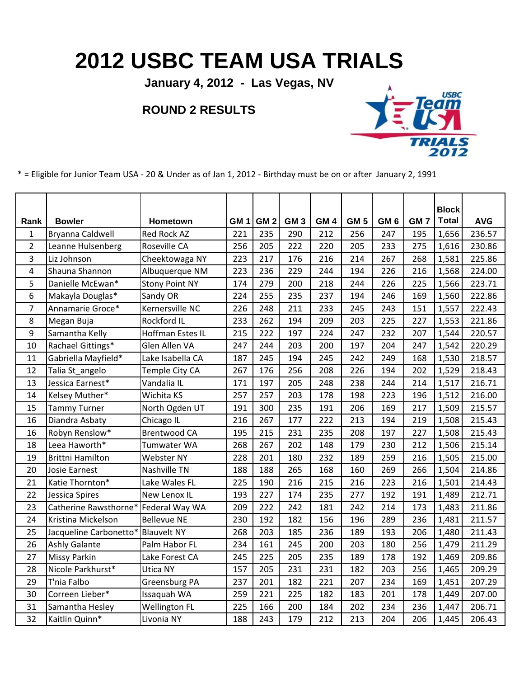## **2012 USBC TEAM USA TRIALS**

**January 4, 2012 - Las Vegas, NV**

## **ROUND 2 RESULTS**



\* = Eligible for Junior Team USA - 20 & Under as of Jan 1, 2012 - Birthday must be on or after January 2, 1991

| Rank           | <b>Bowler</b>           | Hometown              | GM 1 | GM <sub>2</sub> | GM <sub>3</sub> | GM <sub>4</sub> | GM <sub>5</sub> | GM <sub>6</sub> | GM <sub>7</sub> | <b>Block</b><br><b>Total</b> | <b>AVG</b> |
|----------------|-------------------------|-----------------------|------|-----------------|-----------------|-----------------|-----------------|-----------------|-----------------|------------------------------|------------|
| $\mathbf{1}$   | Bryanna Caldwell        | Red Rock AZ           | 221  | 235             | 290             | 212             | 256             | 247             | 195             | 1,656                        | 236.57     |
| $\overline{2}$ | Leanne Hulsenberg       | Roseville CA          | 256  | 205             | 222             | 220             | 205             | 233             | 275             | 1,616                        | 230.86     |
| 3              | Liz Johnson             | Cheektowaga NY        | 223  | 217             | 176             | 216             | 214             | 267             | 268             | 1,581                        | 225.86     |
| 4              | Shauna Shannon          | Albuquerque NM        | 223  | 236             | 229             | 244             | 194             | 226             | 216             | 1,568                        | 224.00     |
| 5              | Danielle McEwan*        | <b>Stony Point NY</b> | 174  | 279             | 200             | 218             | 244             | 226             | 225             | 1,566                        | 223.71     |
| 6              | Makayla Douglas*        | Sandy OR              | 224  | 255             | 235             | 237             | 194             | 246             | 169             | 1,560                        | 222.86     |
| $\overline{7}$ | Annamarie Groce*        | Kernersville NC       | 226  | 248             | 211             | 233             | 245             | 243             | 151             | 1,557                        | 222.43     |
| 8              | Megan Buja              | Rockford IL           | 233  | 262             | 194             | 209             | 203             | 225             | 227             | 1,553                        | 221.86     |
| 9              | Samantha Kelly          | Hoffman Estes IL      | 215  | 222             | 197             | 224             | 247             | 232             | 207             | 1,544                        | 220.57     |
| 10             | Rachael Gittings*       | Glen Allen VA         | 247  | 244             | 203             | 200             | 197             | 204             | 247             | 1,542                        | 220.29     |
| 11             | Gabriella Mayfield*     | Lake Isabella CA      | 187  | 245             | 194             | 245             | 242             | 249             | 168             | 1,530                        | 218.57     |
| 12             | Talia St angelo         | Temple City CA        | 267  | 176             | 256             | 208             | 226             | 194             | 202             | 1,529                        | 218.43     |
| 13             | Jessica Earnest*        | Vandalia IL           | 171  | 197             | 205             | 248             | 238             | 244             | 214             | 1,517                        | 216.71     |
| 14             | Kelsey Muther*          | Wichita KS            | 257  | 257             | 203             | 178             | 198             | 223             | 196             | 1,512                        | 216.00     |
| 15             | <b>Tammy Turner</b>     | North Ogden UT        | 191  | 300             | 235             | 191             | 206             | 169             | 217             | 1,509                        | 215.57     |
| 16             | Diandra Asbaty          | Chicago IL            | 216  | 267             | 177             | 222             | 213             | 194             | 219             | 1,508                        | 215.43     |
| 16             | Robyn Renslow*          | <b>Brentwood CA</b>   | 195  | 215             | 231             | 235             | 208             | 197             | 227             | 1,508                        | 215.43     |
| 18             | Leea Haworth*           | Tumwater WA           | 268  | 267             | 202             | 148             | 179             | 230             | 212             | 1,506                        | 215.14     |
| 19             | <b>Brittni Hamilton</b> | Webster NY            | 228  | 201             | 180             | 232             | 189             | 259             | 216             | 1,505                        | 215.00     |
| 20             | Josie Earnest           | Nashville TN          | 188  | 188             | 265             | 168             | 160             | 269             | 266             | 1,504                        | 214.86     |
| 21             | Katie Thornton*         | Lake Wales FL         | 225  | 190             | 216             | 215             | 216             | 223             | 216             | 1,501                        | 214.43     |
| 22             | Jessica Spires          | New Lenox IL          | 193  | 227             | 174             | 235             | 277             | 192             | 191             | 1,489                        | 212.71     |
| 23             | Catherine Rawsthorne*   | Federal Way WA        | 209  | 222             | 242             | 181             | 242             | 214             | 173             | 1,483                        | 211.86     |
| 24             | Kristina Mickelson      | <b>Bellevue NE</b>    | 230  | 192             | 182             | 156             | 196             | 289             | 236             | 1,481                        | 211.57     |
| 25             | Jacqueline Carbonetto*  | <b>Blauvelt NY</b>    | 268  | 203             | 185             | 236             | 189             | 193             | 206             | 1,480                        | 211.43     |
| 26             | <b>Ashly Galante</b>    | Palm Habor FL         | 234  | 161             | 245             | 200             | 203             | 180             | 256             | 1,479                        | 211.29     |
| 27             | <b>Missy Parkin</b>     | Lake Forest CA        | 245  | 225             | 205             | 235             | 189             | 178             | 192             | 1,469                        | 209.86     |
| 28             | Nicole Parkhurst*       | Utica NY              | 157  | 205             | 231             | 231             | 182             | 203             | 256             | 1,465                        | 209.29     |
| 29             | T'nia Falbo             | Greensburg PA         | 237  | 201             | 182             | 221             | 207             | 234             | 169             | 1,451                        | 207.29     |
| 30             | Correen Lieber*         | Issaquah WA           | 259  | 221             | 225             | 182             | 183             | 201             | 178             | 1,449                        | 207.00     |
| 31             | Samantha Hesley         | <b>Wellington FL</b>  | 225  | 166             | 200             | 184             | 202             | 234             | 236             | 1,447                        | 206.71     |
| 32             | Kaitlin Quinn*          | Livonia NY            | 188  | 243             | 179             | 212             | 213             | 204             | 206             | 1,445                        | 206.43     |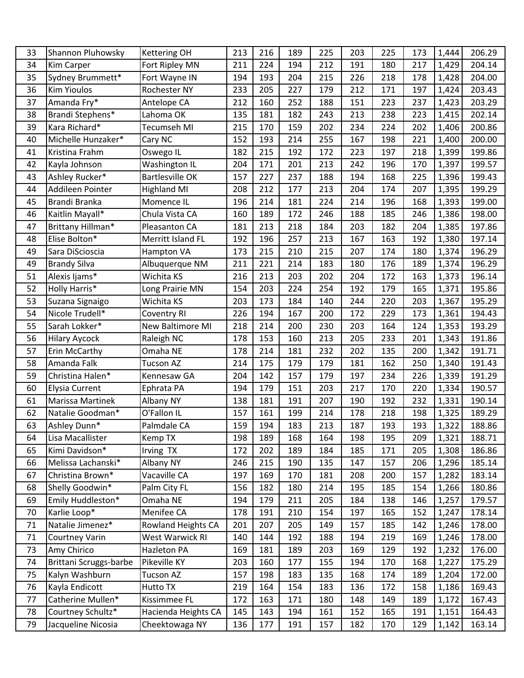| 33 | Shannon Pluhowsky      | <b>Kettering OH</b>    | 213 | 216 | 189 | 225 | 203 | 225 | 173 | 1,444 | 206.29 |
|----|------------------------|------------------------|-----|-----|-----|-----|-----|-----|-----|-------|--------|
| 34 | <b>Kim Carper</b>      | Fort Ripley MN         | 211 | 224 | 194 | 212 | 191 | 180 | 217 | 1,429 | 204.14 |
| 35 | Sydney Brummett*       | Fort Wayne IN          | 194 | 193 | 204 | 215 | 226 | 218 | 178 | 1,428 | 204.00 |
| 36 | <b>Kim Yioulos</b>     | Rochester NY           | 233 | 205 | 227 | 179 | 212 | 171 | 197 | 1,424 | 203.43 |
| 37 | Amanda Fry*            | Antelope CA            | 212 | 160 | 252 | 188 | 151 | 223 | 237 | 1,423 | 203.29 |
| 38 | Brandi Stephens*       | Lahoma OK              | 135 | 181 | 182 | 243 | 213 | 238 | 223 | 1,415 | 202.14 |
| 39 | Kara Richard*          | Tecumseh MI            | 215 | 170 | 159 | 202 | 234 | 224 | 202 | 1,406 | 200.86 |
| 40 | Michelle Hunzaker*     | Cary NC                | 152 | 193 | 214 | 255 | 167 | 198 | 221 | 1,400 | 200.00 |
| 41 | Kristina Frahm         | Oswego IL              | 182 | 215 | 192 | 172 | 223 | 197 | 218 | 1,399 | 199.86 |
| 42 | Kayla Johnson          | Washington IL          | 204 | 171 | 201 | 213 | 242 | 196 | 170 | 1,397 | 199.57 |
| 43 | Ashley Rucker*         | <b>Bartlesville OK</b> | 157 | 227 | 237 | 188 | 194 | 168 | 225 | 1,396 | 199.43 |
| 44 | Addileen Pointer       | <b>Highland MI</b>     | 208 | 212 | 177 | 213 | 204 | 174 | 207 | 1,395 | 199.29 |
| 45 | Brandi Branka          | Momence IL             | 196 | 214 | 181 | 224 | 214 | 196 | 168 | 1,393 | 199.00 |
| 46 | Kaitlin Mayall*        | Chula Vista CA         | 160 | 189 | 172 | 246 | 188 | 185 | 246 | 1,386 | 198.00 |
| 47 | Brittany Hillman*      | Pleasanton CA          | 181 | 213 | 218 | 184 | 203 | 182 | 204 | 1,385 | 197.86 |
| 48 | Elise Bolton*          | Merritt Island FL      | 192 | 196 | 257 | 213 | 167 | 163 | 192 | 1,380 | 197.14 |
| 49 | Sara DiScioscia        | Hampton VA             | 173 | 215 | 210 | 215 | 207 | 174 | 180 | 1,374 | 196.29 |
| 49 | <b>Brandy Silva</b>    | Albuquerque NM         | 211 | 221 | 214 | 183 | 180 | 176 | 189 | 1,374 | 196.29 |
| 51 | Alexis Ijams*          | Wichita KS             | 216 | 213 | 203 | 202 | 204 | 172 | 163 | 1,373 | 196.14 |
| 52 | <b>Holly Harris*</b>   | Long Prairie MN        | 154 | 203 | 224 | 254 | 192 | 179 | 165 | 1,371 | 195.86 |
| 53 | Suzana Signaigo        | Wichita KS             | 203 | 173 | 184 | 140 | 244 | 220 | 203 | 1,367 | 195.29 |
| 54 | Nicole Trudell*        | Coventry RI            | 226 | 194 | 167 | 200 | 172 | 229 | 173 | 1,361 | 194.43 |
| 55 | Sarah Lokker*          | New Baltimore MI       | 218 | 214 | 200 | 230 | 203 | 164 | 124 | 1,353 | 193.29 |
| 56 | <b>Hilary Aycock</b>   | Raleigh NC             | 178 | 153 | 160 | 213 | 205 | 233 | 201 | 1,343 | 191.86 |
| 57 | Erin McCarthy          | Omaha NE               | 178 | 214 | 181 | 232 | 202 | 135 | 200 | 1,342 | 191.71 |
| 58 | Amanda Falk            | <b>Tucson AZ</b>       | 214 | 175 | 179 | 179 | 181 | 162 | 250 | 1,340 | 191.43 |
| 59 | Christina Halen*       | Kennesaw GA            | 204 | 142 | 157 | 179 | 197 | 234 | 226 | 1,339 | 191.29 |
| 60 | <b>Elysia Current</b>  | Ephrata PA             | 194 | 179 | 151 | 203 | 217 | 170 | 220 | 1,334 | 190.57 |
| 61 | Marissa Martinek       | Albany NY              | 138 | 181 | 191 | 207 | 190 | 192 | 232 | 1,331 | 190.14 |
| 62 | Natalie Goodman*       | O'Fallon IL            | 157 | 161 | 199 | 214 | 178 | 218 | 198 | 1,325 | 189.29 |
| 63 | Ashley Dunn*           | Palmdale CA            | 159 | 194 | 183 | 213 | 187 | 193 | 193 | 1,322 | 188.86 |
| 64 | Lisa Macallister       | Kemp TX                | 198 | 189 | 168 | 164 | 198 | 195 | 209 | 1,321 | 188.71 |
| 65 | Kimi Davidson*         | Irving TX              | 172 | 202 | 189 | 184 | 185 | 171 | 205 | 1,308 | 186.86 |
| 66 | Melissa Lachanski*     | Albany NY              | 246 | 215 | 190 | 135 | 147 | 157 | 206 | 1,296 | 185.14 |
| 67 | Christina Brown*       | Vacaville CA           | 197 | 169 | 170 | 181 | 208 | 200 | 157 | 1,282 | 183.14 |
| 68 | Shelly Goodwin*        | Palm City FL           | 156 | 182 | 180 | 214 | 195 | 185 | 154 | 1,266 | 180.86 |
| 69 | Emily Huddleston*      | Omaha NE               | 194 | 179 | 211 | 205 | 184 | 138 | 146 | 1,257 | 179.57 |
| 70 | Karlie Loop*           | Menifee CA             | 178 | 191 | 210 | 154 | 197 | 165 | 152 | 1,247 | 178.14 |
| 71 | Natalie Jimenez*       | Rowland Heights CA     | 201 | 207 | 205 | 149 | 157 | 185 | 142 | 1,246 | 178.00 |
| 71 | <b>Courtney Varin</b>  | West Warwick RI        | 140 | 144 | 192 | 188 | 194 | 219 | 169 | 1,246 | 178.00 |
| 73 | Amy Chirico            | Hazleton PA            | 169 | 181 | 189 | 203 | 169 | 129 | 192 | 1,232 | 176.00 |
| 74 | Brittani Scruggs-barbe | Pikeville KY           | 203 | 160 | 177 | 155 | 194 | 170 | 168 | 1,227 | 175.29 |
| 75 | Kalyn Washburn         | <b>Tucson AZ</b>       | 157 | 198 | 183 | 135 | 168 | 174 | 189 | 1,204 | 172.00 |
| 76 | Kayla Endicott         | Hutto TX               | 219 | 164 | 154 | 183 | 136 | 172 | 158 | 1,186 | 169.43 |
| 77 | Catherine Mullen*      | Kissimmee FL           | 172 | 163 | 171 | 180 | 148 | 149 | 189 | 1,172 | 167.43 |
| 78 | Courtney Schultz*      | Hacienda Heights CA    | 145 | 143 | 194 | 161 | 152 | 165 | 191 | 1,151 | 164.43 |
| 79 | Jacqueline Nicosia     | Cheektowaga NY         | 136 | 177 | 191 | 157 | 182 | 170 | 129 | 1,142 | 163.14 |